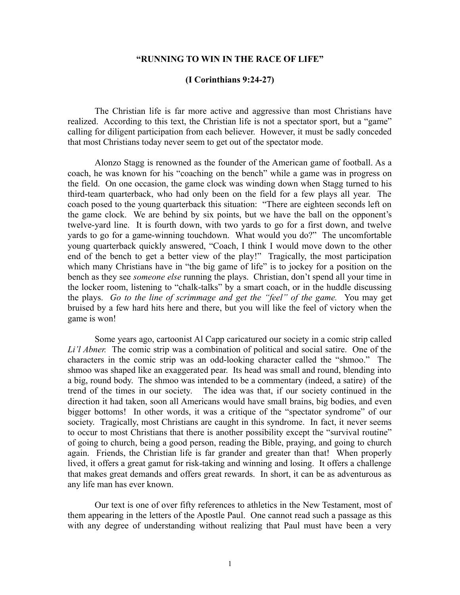### **"RUNNING TO WIN IN THE RACE OF LIFE"**

#### **(I Corinthians 9:24-27)**

The Christian life is far more active and aggressive than most Christians have realized. According to this text, the Christian life is not a spectator sport, but a "game" calling for diligent participation from each believer. However, it must be sadly conceded that most Christians today never seem to get out of the spectator mode.

Alonzo Stagg is renowned as the founder of the American game of football. As a coach, he was known for his "coaching on the bench" while a game was in progress on the field. On one occasion, the game clock was winding down when Stagg turned to his third-team quarterback, who had only been on the field for a few plays all year. The coach posed to the young quarterback this situation: "There are eighteen seconds left on the game clock. We are behind by six points, but we have the ball on the opponent's twelve-yard line. It is fourth down, with two yards to go for a first down, and twelve yards to go for a game-winning touchdown. What would you do?" The uncomfortable young quarterback quickly answered, "Coach, I think I would move down to the other end of the bench to get a better view of the play!" Tragically, the most participation which many Christians have in "the big game of life" is to jockey for a position on the bench as they see *someone else* running the plays. Christian, don't spend all your time in the locker room, listening to "chalk-talks" by a smart coach, or in the huddle discussing the plays. *Go to the line of scrimmage and get the "feel" of the game.* You may get bruised by a few hard hits here and there, but you will like the feel of victory when the game is won!

Some years ago, cartoonist Al Capp caricatured our society in a comic strip called *Li'l Abner.* The comic strip was a combination of political and social satire. One of the characters in the comic strip was an odd-looking character called the "shmoo." The shmoo was shaped like an exaggerated pear. Its head was small and round, blending into a big, round body. The shmoo was intended to be a commentary (indeed, a satire) of the trend of the times in our society. The idea was that, if our society continued in the direction it had taken, soon all Americans would have small brains, big bodies, and even bigger bottoms! In other words, it was a critique of the "spectator syndrome" of our society. Tragically, most Christians are caught in this syndrome. In fact, it never seems to occur to most Christians that there is another possibility except the "survival routine" of going to church, being a good person, reading the Bible, praying, and going to church again. Friends, the Christian life is far grander and greater than that! When properly lived, it offers a great gamut for risk-taking and winning and losing. It offers a challenge that makes great demands and offers great rewards. In short, it can be as adventurous as any life man has ever known.

Our text is one of over fifty references to athletics in the New Testament, most of them appearing in the letters of the Apostle Paul. One cannot read such a passage as this with any degree of understanding without realizing that Paul must have been a very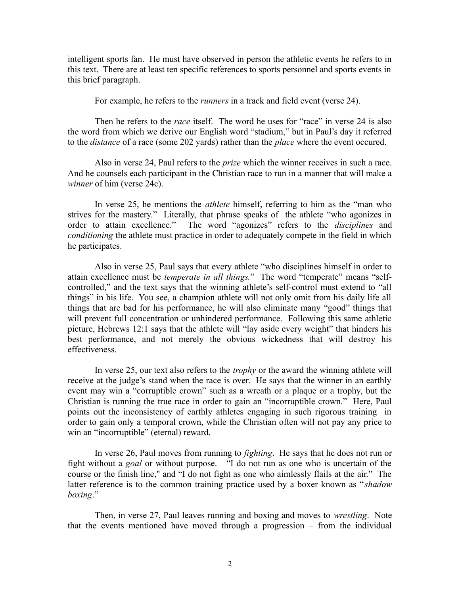intelligent sports fan. He must have observed in person the athletic events he refers to in this text. There are at least ten specific references to sports personnel and sports events in this brief paragraph.

For example, he refers to the *runners* in a track and field event (verse 24).

Then he refers to the *race* itself. The word he uses for "race" in verse 24 is also the word from which we derive our English word "stadium," but in Paul's day it referred to the *distance* of a race (some 202 yards) rather than the *place* where the event occured.

Also in verse 24, Paul refers to the *prize* which the winner receives in such a race. And he counsels each participant in the Christian race to run in a manner that will make a *winner* of him (verse 24c).

In verse 25, he mentions the *athlete* himself, referring to him as the "man who strives for the mastery." Literally, that phrase speaks of the athlete "who agonizes in order to attain excellence." The word "agonizes" refers to the *disciplines* and *conditioning* the athlete must practice in order to adequately compete in the field in which he participates.

Also in verse 25, Paul says that every athlete "who disciplines himself in order to attain excellence must be *temperate in all things.*" The word "temperate" means "selfcontrolled," and the text says that the winning athlete's self-control must extend to "all things" in his life. You see, a champion athlete will not only omit from his daily life all things that are bad for his performance, he will also eliminate many "good" things that will prevent full concentration or unhindered performance. Following this same athletic picture, Hebrews 12:1 says that the athlete will "lay aside every weight" that hinders his best performance, and not merely the obvious wickedness that will destroy his effectiveness.

In verse 25, our text also refers to the *trophy* or the award the winning athlete will receive at the judge's stand when the race is over. He says that the winner in an earthly event may win a "corruptible crown" such as a wreath or a plaque or a trophy, but the Christian is running the true race in order to gain an "incorruptible crown." Here, Paul points out the inconsistency of earthly athletes engaging in such rigorous training in order to gain only a temporal crown, while the Christian often will not pay any price to win an "incorruptible" (eternal) reward.

In verse 26, Paul moves from running to *fighting*. He says that he does not run or fight without a *goal* or without purpose. "I do not run as one who is uncertain of the course or the finish line," and "I do not fight as one who aimlessly flails at the air." The latter reference is to the common training practice used by a boxer known as "*shadow boxing*."

Then, in verse 27, Paul leaves running and boxing and moves to *wrestling*. Note that the events mentioned have moved through a progression – from the individual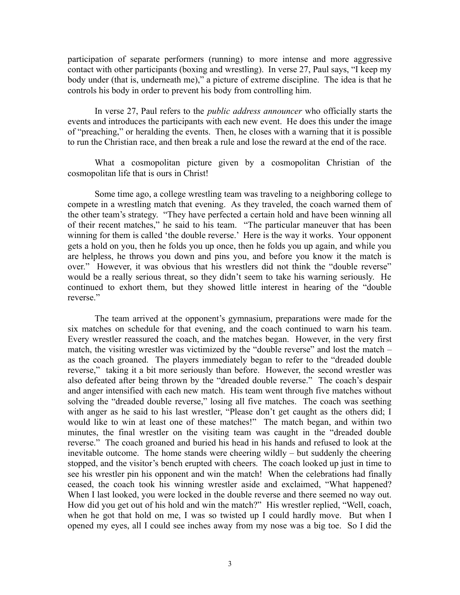participation of separate performers (running) to more intense and more aggressive contact with other participants (boxing and wrestling). In verse 27, Paul says, "I keep my body under (that is, underneath me)," a picture of extreme discipline. The idea is that he controls his body in order to prevent his body from controlling him.

In verse 27, Paul refers to the *public address announcer* who officially starts the events and introduces the participants with each new event. He does this under the image of "preaching," or heralding the events. Then, he closes with a warning that it is possible to run the Christian race, and then break a rule and lose the reward at the end of the race.

What a cosmopolitan picture given by a cosmopolitan Christian of the cosmopolitan life that is ours in Christ!

Some time ago, a college wrestling team was traveling to a neighboring college to compete in a wrestling match that evening. As they traveled, the coach warned them of the other team's strategy. "They have perfected a certain hold and have been winning all of their recent matches," he said to his team. "The particular maneuver that has been winning for them is called 'the double reverse.' Here is the way it works. Your opponent gets a hold on you, then he folds you up once, then he folds you up again, and while you are helpless, he throws you down and pins you, and before you know it the match is over." However, it was obvious that his wrestlers did not think the "double reverse" would be a really serious threat, so they didn't seem to take his warning seriously. He continued to exhort them, but they showed little interest in hearing of the "double reverse."

The team arrived at the opponent's gymnasium, preparations were made for the six matches on schedule for that evening, and the coach continued to warn his team. Every wrestler reassured the coach, and the matches began. However, in the very first match, the visiting wrestler was victimized by the "double reverse" and lost the match – as the coach groaned. The players immediately began to refer to the "dreaded double reverse," taking it a bit more seriously than before. However, the second wrestler was also defeated after being thrown by the "dreaded double reverse." The coach's despair and anger intensified with each new match. His team went through five matches without solving the "dreaded double reverse," losing all five matches. The coach was seething with anger as he said to his last wrestler, "Please don't get caught as the others did; I would like to win at least one of these matches!" The match began, and within two minutes, the final wrestler on the visiting team was caught in the "dreaded double reverse." The coach groaned and buried his head in his hands and refused to look at the inevitable outcome. The home stands were cheering wildly – but suddenly the cheering stopped, and the visitor's bench erupted with cheers. The coach looked up just in time to see his wrestler pin his opponent and win the match! When the celebrations had finally ceased, the coach took his winning wrestler aside and exclaimed, "What happened? When I last looked, you were locked in the double reverse and there seemed no way out. How did you get out of his hold and win the match?" His wrestler replied, "Well, coach, when he got that hold on me, I was so twisted up I could hardly move. But when I opened my eyes, all I could see inches away from my nose was a big toe. So I did the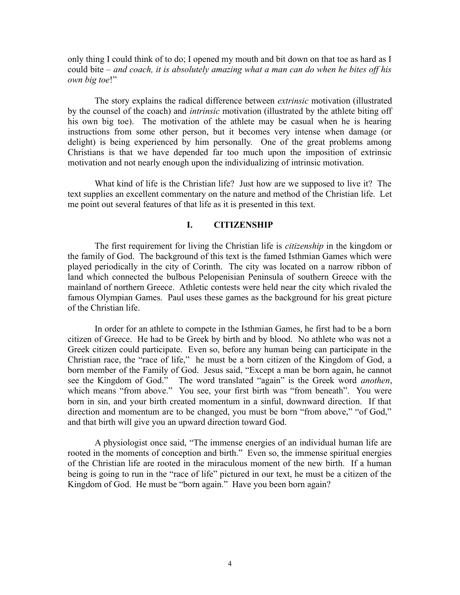only thing I could think of to do; I opened my mouth and bit down on that toe as hard as I could bite – *and coach, it is absolutely amazing what a man can do when he bites off his own big toe*!"

The story explains the radical difference between *extrinsic* motivation (illustrated by the counsel of the coach) and *intrinsic* motivation (illustrated by the athlete biting off his own big toe). The motivation of the athlete may be casual when he is hearing instructions from some other person, but it becomes very intense when damage (or delight) is being experienced by him personally. One of the great problems among Christians is that we have depended far too much upon the imposition of extrinsic motivation and not nearly enough upon the individualizing of intrinsic motivation.

What kind of life is the Christian life? Just how are we supposed to live it? The text supplies an excellent commentary on the nature and method of the Christian life. Let me point out several features of that life as it is presented in this text.

# **I. CITIZENSHIP**

The first requirement for living the Christian life is *citizenship* in the kingdom or the family of God. The background of this text is the famed Isthmian Games which were played periodically in the city of Corinth. The city was located on a narrow ribbon of land which connected the bulbous Pelopenisian Peninsula of southern Greece with the mainland of northern Greece. Athletic contests were held near the city which rivaled the famous Olympian Games. Paul uses these games as the background for his great picture of the Christian life.

In order for an athlete to compete in the Isthmian Games, he first had to be a born citizen of Greece. He had to be Greek by birth and by blood. No athlete who was not a Greek citizen could participate. Even so, before any human being can participate in the Christian race, the "race of life," he must be a born citizen of the Kingdom of God, a born member of the Family of God. Jesus said, "Except a man be born again, he cannot see the Kingdom of God." The word translated "again" is the Greek word *anothen*, which means "from above." You see, your first birth was "from beneath". You were born in sin, and your birth created momentum in a sinful, downward direction. If that direction and momentum are to be changed, you must be born "from above," "of God," and that birth will give you an upward direction toward God.

A physiologist once said, "The immense energies of an individual human life are rooted in the moments of conception and birth." Even so, the immense spiritual energies of the Christian life are rooted in the miraculous moment of the new birth. If a human being is going to run in the "race of life" pictured in our text, he must be a citizen of the Kingdom of God. He must be "born again." Have you been born again?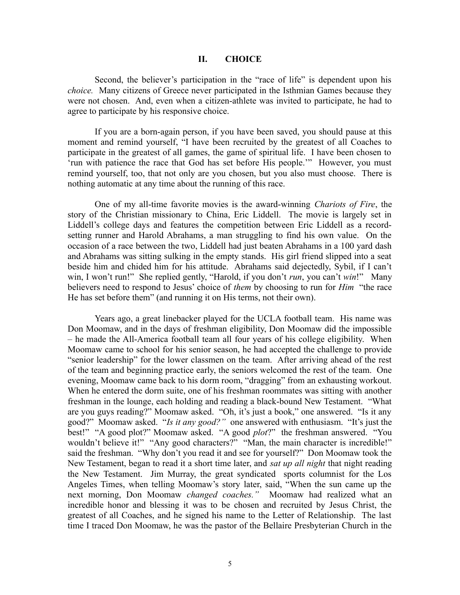### **II. CHOICE**

Second, the believer's participation in the "race of life" is dependent upon his *choice.* Many citizens of Greece never participated in the Isthmian Games because they were not chosen. And, even when a citizen-athlete was invited to participate, he had to agree to participate by his responsive choice.

If you are a born-again person, if you have been saved, you should pause at this moment and remind yourself, "I have been recruited by the greatest of all Coaches to participate in the greatest of all games, the game of spiritual life. I have been chosen to 'run with patience the race that God has set before His people.'" However, you must remind yourself, too, that not only are you chosen, but you also must choose. There is nothing automatic at any time about the running of this race.

One of my all-time favorite movies is the award-winning *Chariots of Fire*, the story of the Christian missionary to China, Eric Liddell. The movie is largely set in Liddell's college days and features the competition between Eric Liddell as a recordsetting runner and Harold Abrahams, a man struggling to find his own value. On the occasion of a race between the two, Liddell had just beaten Abrahams in a 100 yard dash and Abrahams was sitting sulking in the empty stands. His girl friend slipped into a seat beside him and chided him for his attitude. Abrahams said dejectedly, Sybil, if I can't win, I won't run!" She replied gently, "Harold, if you don't *run*, you can't *win*!" Many believers need to respond to Jesus' choice of *them* by choosing to run for *Him* "the race He has set before them" (and running it on His terms, not their own).

Years ago, a great linebacker played for the UCLA football team. His name was Don Moomaw, and in the days of freshman eligibility, Don Moomaw did the impossible – he made the All-America football team all four years of his college eligibility. When Moomaw came to school for his senior season, he had accepted the challenge to provide "senior leadership" for the lower classmen on the team. After arriving ahead of the rest of the team and beginning practice early, the seniors welcomed the rest of the team. One evening, Moomaw came back to his dorm room, "dragging" from an exhausting workout. When he entered the dorm suite, one of his freshman roommates was sitting with another freshman in the lounge, each holding and reading a black-bound New Testament. "What are you guys reading?" Moomaw asked. "Oh, it's just a book," one answered. "Is it any good?" Moomaw asked. "*Is it any good?"* one answered with enthusiasm. "It's just the best!" "A good plot?" Moomaw asked. "A good *plot*?" the freshman answered. "You wouldn't believe it!" "Any good characters?" "Man, the main character is incredible!" said the freshman. "Why don't you read it and see for yourself?" Don Moomaw took the New Testament, began to read it a short time later, and *sat up all night* that night reading the New Testament. Jim Murray, the great syndicated sports columnist for the Los Angeles Times, when telling Moomaw's story later, said, "When the sun came up the next morning, Don Moomaw *changed coaches."* Moomaw had realized what an incredible honor and blessing it was to be chosen and recruited by Jesus Christ, the greatest of all Coaches, and he signed his name to the Letter of Relationship. The last time I traced Don Moomaw, he was the pastor of the Bellaire Presbyterian Church in the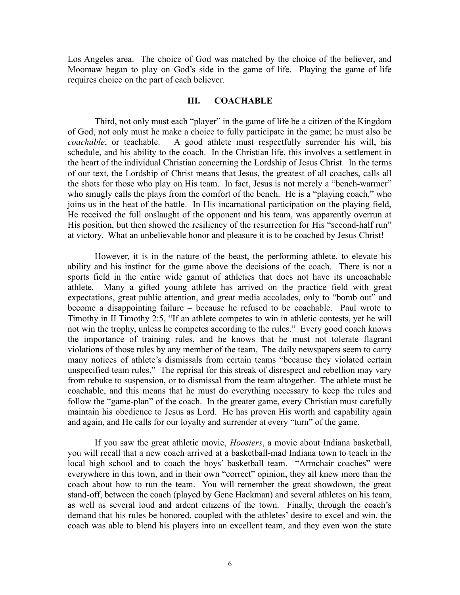Los Angeles area. The choice of God was matched by the choice of the believer, and Moomaw began to play on God's side in the game of life. Playing the game of life requires choice on the part of each believer.

## **III. COACHABLE**

Third, not only must each "player" in the game of life be a citizen of the Kingdom of God, not only must he make a choice to fully participate in the game; he must also be *coachable*, or teachable. A good athlete must respectfully surrender his will, his schedule, and his ability to the coach. In the Christian life, this involves a settlement in the heart of the individual Christian concerning the Lordship of Jesus Christ. In the terms of our text, the Lordship of Christ means that Jesus, the greatest of all coaches, calls all the shots for those who play on His team. In fact, Jesus is not merely a "bench-warmer" who smugly calls the plays from the comfort of the bench. He is a "playing coach," who joins us in the heat of the battle. In His incarnational participation on the playing field, He received the full onslaught of the opponent and his team, was apparently overrun at His position, but then showed the resiliency of the resurrection for His "second-half run" at victory. What an unbelievable honor and pleasure it is to be coached by Jesus Christ!

However, it is in the nature of the beast, the performing athlete, to elevate his ability and his instinct for the game above the decisions of the coach. There is not a sports field in the entire wide gamut of athletics that does not have its uncoachable athlete. Many a gifted young athlete has arrived on the practice field with great expectations, great public attention, and great media accolades, only to "bomb out" and become a disappointing failure – because he refused to be coachable. Paul wrote to Timothy in II Timothy 2:5, "If an athlete competes to win in athletic contests, yet he will not win the trophy, unless he competes according to the rules." Every good coach knows the importance of training rules, and he knows that he must not tolerate flagrant violations of those rules by any member of the team. The daily newspapers seem to carry many notices of athlete's dismissals from certain teams "because they violated certain unspecified team rules." The reprisal for this streak of disrespect and rebellion may vary from rebuke to suspension, or to dismissal from the team altogether. The athlete must be coachable, and this means that he must do everything necessary to keep the rules and follow the "game-plan" of the coach. In the greater game, every Christian must carefully maintain his obedience to Jesus as Lord. He has proven His worth and capability again and again, and He calls for our loyalty and surrender at every "turn" of the game.

If you saw the great athletic movie, *Hoosiers*, a movie about Indiana basketball, you will recall that a new coach arrived at a basketball-mad Indiana town to teach in the local high school and to coach the boys' basketball team. "Armchair coaches" were everywhere in this town, and in their own "correct" opinion, they all knew more than the coach about how to run the team. You will remember the great showdown, the great stand-off, between the coach (played by Gene Hackman) and several athletes on his team, as well as several loud and ardent citizens of the town. Finally, through the coach's demand that his rules be honored, coupled with the athletes' desire to excel and win, the coach was able to blend his players into an excellent team, and they even won the state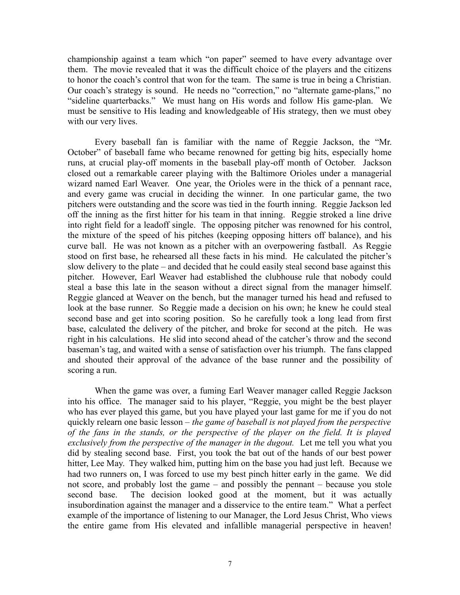championship against a team which "on paper" seemed to have every advantage over them. The movie revealed that it was the difficult choice of the players and the citizens to honor the coach's control that won for the team. The same is true in being a Christian. Our coach's strategy is sound. He needs no "correction," no "alternate game-plans," no "sideline quarterbacks." We must hang on His words and follow His game-plan. We must be sensitive to His leading and knowledgeable of His strategy, then we must obey with our very lives.

Every baseball fan is familiar with the name of Reggie Jackson, the "Mr. October" of baseball fame who became renowned for getting big hits, especially home runs, at crucial play-off moments in the baseball play-off month of October. Jackson closed out a remarkable career playing with the Baltimore Orioles under a managerial wizard named Earl Weaver. One year, the Orioles were in the thick of a pennant race, and every game was crucial in deciding the winner. In one particular game, the two pitchers were outstanding and the score was tied in the fourth inning. Reggie Jackson led off the inning as the first hitter for his team in that inning. Reggie stroked a line drive into right field for a leadoff single. The opposing pitcher was renowned for his control, the mixture of the speed of his pitches (keeping opposing hitters off balance), and his curve ball. He was not known as a pitcher with an overpowering fastball. As Reggie stood on first base, he rehearsed all these facts in his mind. He calculated the pitcher's slow delivery to the plate – and decided that he could easily steal second base against this pitcher. However, Earl Weaver had established the clubhouse rule that nobody could steal a base this late in the season without a direct signal from the manager himself. Reggie glanced at Weaver on the bench, but the manager turned his head and refused to look at the base runner. So Reggie made a decision on his own; he knew he could steal second base and get into scoring position. So he carefully took a long lead from first base, calculated the delivery of the pitcher, and broke for second at the pitch. He was right in his calculations. He slid into second ahead of the catcher's throw and the second baseman's tag, and waited with a sense of satisfaction over his triumph. The fans clapped and shouted their approval of the advance of the base runner and the possibility of scoring a run.

When the game was over, a fuming Earl Weaver manager called Reggie Jackson into his office. The manager said to his player, "Reggie, you might be the best player who has ever played this game, but you have played your last game for me if you do not quickly relearn one basic lesson – *the game of baseball is not played from the perspective of the fans in the stands, or the perspective of the player on the field. It is played exclusively from the perspective of the manager in the dugout.* Let me tell you what you did by stealing second base. First, you took the bat out of the hands of our best power hitter, Lee May. They walked him, putting him on the base you had just left. Because we had two runners on, I was forced to use my best pinch hitter early in the game. We did not score, and probably lost the game – and possibly the pennant – because you stole second base. The decision looked good at the moment, but it was actually insubordination against the manager and a disservice to the entire team." What a perfect example of the importance of listening to our Manager, the Lord Jesus Christ, Who views the entire game from His elevated and infallible managerial perspective in heaven!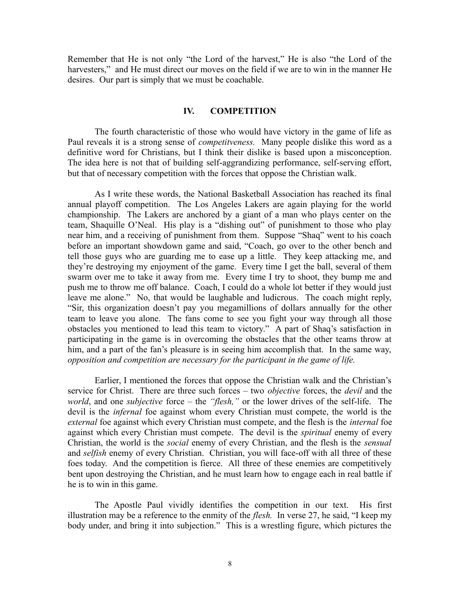Remember that He is not only "the Lord of the harvest," He is also "the Lord of the harvesters," and He must direct our moves on the field if we are to win in the manner He desires. Our part is simply that we must be coachable.

### **IV. COMPETITION**

The fourth characteristic of those who would have victory in the game of life as Paul reveals it is a strong sense of *competitveness.* Many people dislike this word as a definitive word for Christians, but I think their dislike is based upon a misconception. The idea here is not that of building self-aggrandizing performance, self-serving effort, but that of necessary competition with the forces that oppose the Christian walk.

As I write these words, the National Basketball Association has reached its final annual playoff competition. The Los Angeles Lakers are again playing for the world championship. The Lakers are anchored by a giant of a man who plays center on the team, Shaquille O'Neal. His play is a "dishing out" of punishment to those who play near him, and a receiving of punishment from them. Suppose "Shaq" went to his coach before an important showdown game and said, "Coach, go over to the other bench and tell those guys who are guarding me to ease up a little. They keep attacking me, and they're destroying my enjoyment of the game. Every time I get the ball, several of them swarm over me to take it away from me. Every time I try to shoot, they bump me and push me to throw me off balance. Coach, I could do a whole lot better if they would just leave me alone." No, that would be laughable and ludicrous. The coach might reply, "Sir, this organization doesn't pay you megamillions of dollars annually for the other team to leave you alone. The fans come to see you fight your way through all those obstacles you mentioned to lead this team to victory." A part of Shaq's satisfaction in participating in the game is in overcoming the obstacles that the other teams throw at him, and a part of the fan's pleasure is in seeing him accomplish that. In the same way, *opposition and competition are necessary for the participant in the game of life.*

Earlier, I mentioned the forces that oppose the Christian walk and the Christian's service for Christ. There are three such forces – two *objective* forces, the *devil* and the *world*, and one *subjective* force – the *"flesh,"* or the lower drives of the self-life.The devil is the *infernal* foe against whom every Christian must compete, the world is the *external* foe against which every Christian must compete, and the flesh is the *internal* foe against which every Christian must compete. The devil is the *spiritual* enemy of every Christian, the world is the *social* enemy of every Christian, and the flesh is the *sensual* and *selfish* enemy of every Christian. Christian, you will face-off with all three of these foes today. And the competition is fierce. All three of these enemies are competitively bent upon destroying the Christian, and he must learn how to engage each in real battle if he is to win in this game.

The Apostle Paul vividly identifies the competition in our text. His first illustration may be a reference to the enmity of the *flesh.* In verse 27, he said, "I keep my body under, and bring it into subjection." This is a wrestling figure, which pictures the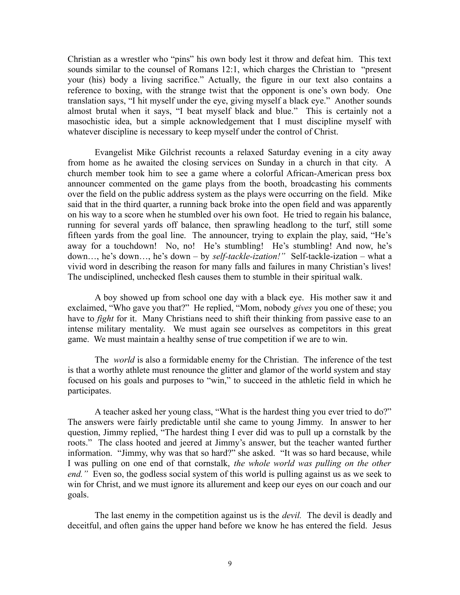Christian as a wrestler who "pins" his own body lest it throw and defeat him. This text sounds similar to the counsel of Romans 12:1, which charges the Christian to "present your (his) body a living sacrifice." Actually, the figure in our text also contains a reference to boxing, with the strange twist that the opponent is one's own body. One translation says, "I hit myself under the eye, giving myself a black eye." Another sounds almost brutal when it says, "I beat myself black and blue." This is certainly not a masochistic idea, but a simple acknowledgement that I must discipline myself with whatever discipline is necessary to keep myself under the control of Christ.

Evangelist Mike Gilchrist recounts a relaxed Saturday evening in a city away from home as he awaited the closing services on Sunday in a church in that city. A church member took him to see a game where a colorful African-American press box announcer commented on the game plays from the booth, broadcasting his comments over the field on the public address system as the plays were occurring on the field. Mike said that in the third quarter, a running back broke into the open field and was apparently on his way to a score when he stumbled over his own foot. He tried to regain his balance, running for several yards off balance, then sprawling headlong to the turf, still some fifteen yards from the goal line. The announcer, trying to explain the play, said, "He's away for a touchdown! No, no! He's stumbling! He's stumbling! And now, he's down…, he's down…, he's down – by *self-tackle-ization!"* Self-tackle-ization – what a vivid word in describing the reason for many falls and failures in many Christian's lives! The undisciplined, unchecked flesh causes them to stumble in their spiritual walk.

A boy showed up from school one day with a black eye. His mother saw it and exclaimed, "Who gave you that?" He replied, "Mom, nobody *gives* you one of these; you have to *fight* for it. Many Christians need to shift their thinking from passive ease to an intense military mentality. We must again see ourselves as competitors in this great game. We must maintain a healthy sense of true competition if we are to win.

The *world* is also a formidable enemy for the Christian. The inference of the test is that a worthy athlete must renounce the glitter and glamor of the world system and stay focused on his goals and purposes to "win," to succeed in the athletic field in which he participates.

A teacher asked her young class, "What is the hardest thing you ever tried to do?" The answers were fairly predictable until she came to young Jimmy. In answer to her question, Jimmy replied, "The hardest thing I ever did was to pull up a cornstalk by the roots." The class hooted and jeered at Jimmy's answer, but the teacher wanted further information. "Jimmy, why was that so hard?" she asked. "It was so hard because, while I was pulling on one end of that cornstalk, *the whole world was pulling on the other end.*" Even so, the godless social system of this world is pulling against us as we seek to win for Christ, and we must ignore its allurement and keep our eyes on our coach and our goals.

The last enemy in the competition against us is the *devil.* The devil is deadly and deceitful, and often gains the upper hand before we know he has entered the field. Jesus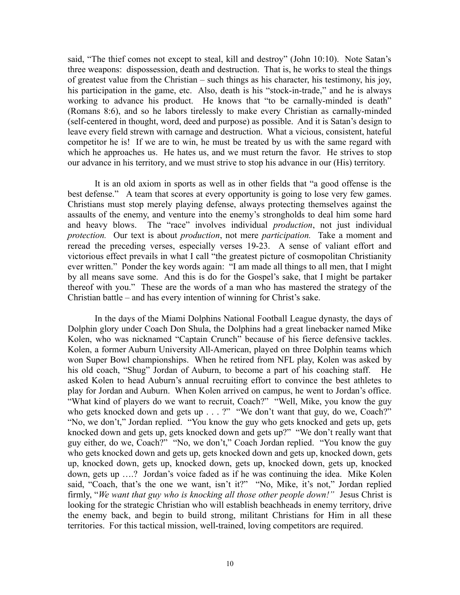said, "The thief comes not except to steal, kill and destroy" (John 10:10). Note Satan's three weapons: dispossession, death and destruction. That is, he works to steal the things of greatest value from the Christian – such things as his character, his testimony, his joy, his participation in the game, etc. Also, death is his "stock-in-trade," and he is always working to advance his product. He knows that "to be carnally-minded is death" (Romans 8:6), and so he labors tirelessly to make every Christian as carnally-minded (self-centered in thought, word, deed and purpose) as possible. And it is Satan's design to leave every field strewn with carnage and destruction. What a vicious, consistent, hateful competitor he is! If we are to win, he must be treated by us with the same regard with which he approaches us. He hates us, and we must return the favor. He strives to stop our advance in his territory, and we must strive to stop his advance in our (His) territory.

It is an old axiom in sports as well as in other fields that "a good offense is the best defense." A team that scores at every opportunity is going to lose very few games. Christians must stop merely playing defense, always protecting themselves against the assaults of the enemy, and venture into the enemy's strongholds to deal him some hard and heavy blows. The "race" involves individual *production*, not just individual *protection.* Our text is about *production*, not mere *participation.* Take a moment and reread the preceding verses, especially verses 19-23. A sense of valiant effort and victorious effect prevails in what I call "the greatest picture of cosmopolitan Christianity ever written." Ponder the key words again: "I am made all things to all men, that I might by all means save some. And this is do for the Gospel's sake, that I might be partaker thereof with you." These are the words of a man who has mastered the strategy of the Christian battle – and has every intention of winning for Christ's sake.

In the days of the Miami Dolphins National Football League dynasty, the days of Dolphin glory under Coach Don Shula, the Dolphins had a great linebacker named Mike Kolen, who was nicknamed "Captain Crunch" because of his fierce defensive tackles. Kolen, a former Auburn University All-American, played on three Dolphin teams which won Super Bowl championships. When he retired from NFL play, Kolen was asked by his old coach, "Shug" Jordan of Auburn, to become a part of his coaching staff. He asked Kolen to head Auburn's annual recruiting effort to convince the best athletes to play for Jordan and Auburn. When Kolen arrived on campus, he went to Jordan's office. "What kind of players do we want to recruit, Coach?" "Well, Mike, you know the guy who gets knocked down and gets up . . . ?" "We don't want that guy, do we, Coach?" "No, we don't," Jordan replied. "You know the guy who gets knocked and gets up, gets knocked down and gets up, gets knocked down and gets up?" "We don't really want that guy either, do we, Coach?" "No, we don't," Coach Jordan replied. "You know the guy who gets knocked down and gets up, gets knocked down and gets up, knocked down, gets up, knocked down, gets up, knocked down, gets up, knocked down, gets up, knocked down, gets up ….? Jordan's voice faded as if he was continuing the idea. Mike Kolen said, "Coach, that's the one we want, isn't it?" "No, Mike, it's not," Jordan replied firmly, "*We want that guy who is knocking all those other people down!"* Jesus Christ is looking for the strategic Christian who will establish beachheads in enemy territory, drive the enemy back, and begin to build strong, militant Christians for Him in all these territories. For this tactical mission, well-trained, loving competitors are required.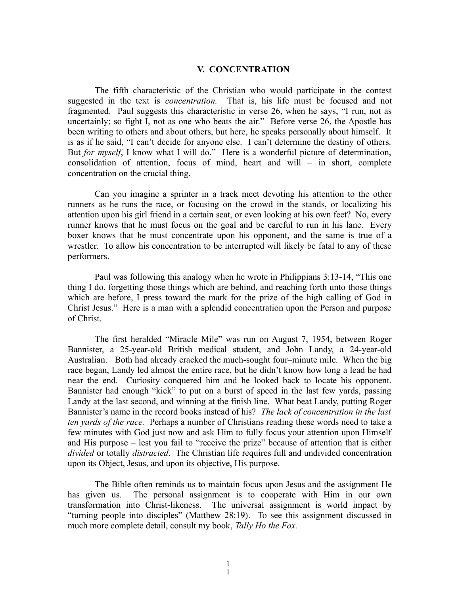### **V. CONCENTRATION**

The fifth characteristic of the Christian who would participate in the contest suggested in the text is *concentration.* That is, his life must be focused and not fragmented. Paul suggests this characteristic in verse 26, when he says, "I run, not as uncertainly; so fight I, not as one who beats the air." Before verse 26, the Apostle has been writing to others and about others, but here, he speaks personally about himself. It is as if he said, "I can't decide for anyone else. I can't determine the destiny of others. But *for myself*, I know what I will do." Here is a wonderful picture of determination, consolidation of attention, focus of mind, heart and will – in short, complete concentration on the crucial thing.

Can you imagine a sprinter in a track meet devoting his attention to the other runners as he runs the race, or focusing on the crowd in the stands, or localizing his attention upon his girl friend in a certain seat, or even looking at his own feet? No, every runner knows that he must focus on the goal and be careful to run in his lane. Every boxer knows that he must concentrate upon his opponent, and the same is true of a wrestler. To allow his concentration to be interrupted will likely be fatal to any of these performers.

Paul was following this analogy when he wrote in Philippians 3:13-14, "This one thing I do, forgetting those things which are behind, and reaching forth unto those things which are before, I press toward the mark for the prize of the high calling of God in Christ Jesus." Here is a man with a splendid concentration upon the Person and purpose of Christ.

The first heralded "Miracle Mile" was run on August 7, 1954, between Roger Bannister, a 25-year-old British medical student, and John Landy, a 24-year-old Australian. Both had already cracked the much-sought four–minute mile. When the big race began, Landy led almost the entire race, but he didn't know how long a lead he had near the end. Curiosity conquered him and he looked back to locate his opponent. Bannister had enough "kick" to put on a burst of speed in the last few yards, passing Landy at the last second, and winning at the finish line. What beat Landy, putting Roger Bannister's name in the record books instead of his? *The lack of concentration in the last ten yards of the race.* Perhaps a number of Christians reading these words need to take a few minutes with God just now and ask Him to fully focus your attention upon Himself and His purpose – lest you fail to "receive the prize" because of attention that is either *divided* or totally *distracted*. The Christian life requires full and undivided concentration upon its Object, Jesus, and upon its objective, His purpose.

The Bible often reminds us to maintain focus upon Jesus and the assignment He has given us. The personal assignment is to cooperate with Him in our own transformation into Christ-likeness. The universal assignment is world impact by "turning people into disciples" (Matthew 28:19). To see this assignment discussed in much more complete detail, consult my book, *Tally Ho the Fox.*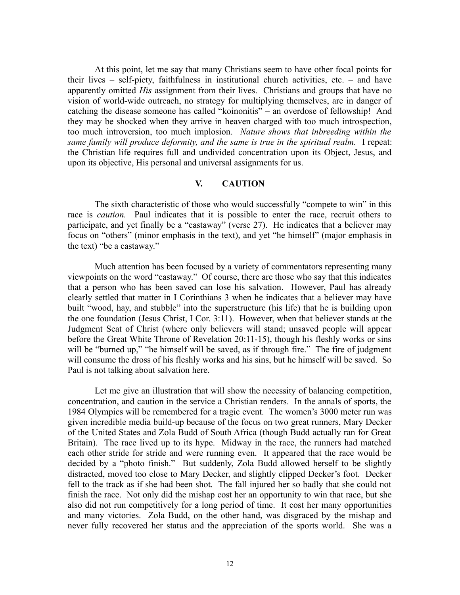At this point, let me say that many Christians seem to have other focal points for their lives – self-piety, faithfulness in institutional church activities, etc. – and have apparently omitted *His* assignment from their lives. Christians and groups that have no vision of world-wide outreach, no strategy for multiplying themselves, are in danger of catching the disease someone has called "koinonitis" – an overdose of fellowship! And they may be shocked when they arrive in heaven charged with too much introspection, too much introversion, too much implosion. *Nature shows that inbreeding within the same family will produce deformity, and the same is true in the spiritual realm.* I repeat: the Christian life requires full and undivided concentration upon its Object, Jesus, and upon its objective, His personal and universal assignments for us.

## **V. CAUTION**

The sixth characteristic of those who would successfully "compete to win" in this race is *caution.* Paul indicates that it is possible to enter the race, recruit others to participate, and yet finally be a "castaway" (verse 27). He indicates that a believer may focus on "others" (minor emphasis in the text), and yet "he himself" (major emphasis in the text) "be a castaway."

Much attention has been focused by a variety of commentators representing many viewpoints on the word "castaway." Of course, there are those who say that this indicates that a person who has been saved can lose his salvation. However, Paul has already clearly settled that matter in I Corinthians 3 when he indicates that a believer may have built "wood, hay, and stubble" into the superstructure (his life) that he is building upon the one foundation (Jesus Christ, I Cor. 3:11). However, when that believer stands at the Judgment Seat of Christ (where only believers will stand; unsaved people will appear before the Great White Throne of Revelation 20:11-15), though his fleshly works or sins will be "burned up," "he himself will be saved, as if through fire." The fire of judgment will consume the dross of his fleshly works and his sins, but he himself will be saved. So Paul is not talking about salvation here.

Let me give an illustration that will show the necessity of balancing competition, concentration, and caution in the service a Christian renders. In the annals of sports, the 1984 Olympics will be remembered for a tragic event. The women's 3000 meter run was given incredible media build-up because of the focus on two great runners, Mary Decker of the United States and Zola Budd of South Africa (though Budd actually ran for Great Britain). The race lived up to its hype. Midway in the race, the runners had matched each other stride for stride and were running even. It appeared that the race would be decided by a "photo finish." But suddenly, Zola Budd allowed herself to be slightly distracted, moved too close to Mary Decker, and slightly clipped Decker's foot. Decker fell to the track as if she had been shot. The fall injured her so badly that she could not finish the race. Not only did the mishap cost her an opportunity to win that race, but she also did not run competitively for a long period of time. It cost her many opportunities and many victories. Zola Budd, on the other hand, was disgraced by the mishap and never fully recovered her status and the appreciation of the sports world. She was a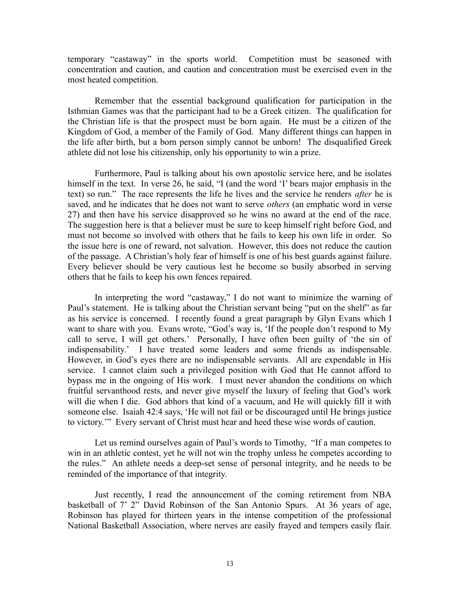temporary "castaway" in the sports world. Competition must be seasoned with concentration and caution, and caution and concentration must be exercised even in the most heated competition.

Remember that the essential background qualification for participation in the Isthmian Games was that the participant had to be a Greek citizen. The qualification for the Christian life is that the prospect must be born again. He must be a citizen of the Kingdom of God, a member of the Family of God. Many different things can happen in the life after birth, but a born person simply cannot be unborn! The disqualified Greek athlete did not lose his citizenship, only his opportunity to win a prize.

Furthermore, Paul is talking about his own apostolic service here, and he isolates himself in the text. In verse 26, he said, "I (and the word 'I' bears major emphasis in the text) so run." The race represents the life he lives and the service he renders *after* he is saved, and he indicates that he does not want to serve *others* (an emphatic word in verse 27) and then have his service disapproved so he wins no award at the end of the race. The suggestion here is that a believer must be sure to keep himself right before God, and must not become so involved with others that he fails to keep his own life in order. So the issue here is one of reward, not salvation. However, this does not reduce the caution of the passage. A Christian's holy fear of himself is one of his best guards against failure. Every believer should be very cautious lest he become so busily absorbed in serving others that he fails to keep his own fences repaired.

In interpreting the word "castaway," I do not want to minimize the warning of Paul's statement. He is talking about the Christian servant being "put on the shelf" as far as his service is concerned. I recently found a great paragraph by Glyn Evans which I want to share with you. Evans wrote, "God's way is, 'If the people don't respond to My call to serve, I will get others.' Personally, I have often been guilty of 'the sin of indispensability.' I have treated some leaders and some friends as indispensable. However, in God's eyes there are no indispensable servants. All are expendable in His service. I cannot claim such a privileged position with God that He cannot afford to bypass me in the ongoing of His work. I must never abandon the conditions on which fruitful servanthood rests, and never give myself the luxury of feeling that God's work will die when I die. God abhors that kind of a vacuum, and He will quickly fill it with someone else. Isaiah 42:4 says, 'He will not fail or be discouraged until He brings justice to victory.'" Every servant of Christ must hear and heed these wise words of caution.

Let us remind ourselves again of Paul's words to Timothy, "If a man competes to win in an athletic contest, yet he will not win the trophy unless he competes according to the rules." An athlete needs a deep-set sense of personal integrity, and he needs to be reminded of the importance of that integrity.

Just recently, I read the announcement of the coming retirement from NBA basketball of 7' 2" David Robinson of the San Antonio Spurs. At 36 years of age, Robinson has played for thirteen years in the intense competition of the professional National Basketball Association, where nerves are easily frayed and tempers easily flair.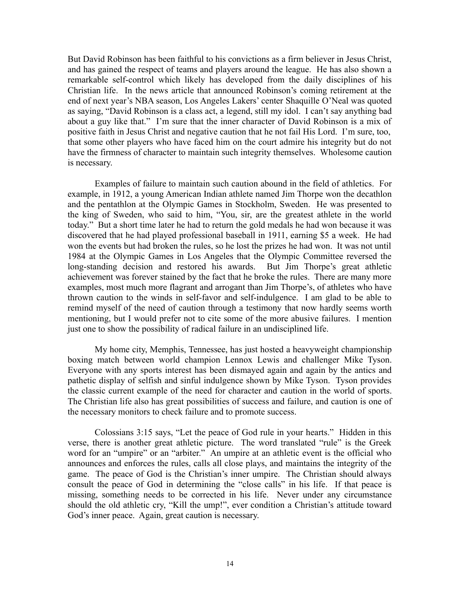But David Robinson has been faithful to his convictions as a firm believer in Jesus Christ, and has gained the respect of teams and players around the league. He has also shown a remarkable self-control which likely has developed from the daily disciplines of his Christian life. In the news article that announced Robinson's coming retirement at the end of next year's NBA season, Los Angeles Lakers' center Shaquille O'Neal was quoted as saying, "David Robinson is a class act, a legend, still my idol. I can't say anything bad about a guy like that." I'm sure that the inner character of David Robinson is a mix of positive faith in Jesus Christ and negative caution that he not fail His Lord. I'm sure, too, that some other players who have faced him on the court admire his integrity but do not have the firmness of character to maintain such integrity themselves. Wholesome caution is necessary.

Examples of failure to maintain such caution abound in the field of athletics. For example, in 1912, a young American Indian athlete named Jim Thorpe won the decathlon and the pentathlon at the Olympic Games in Stockholm, Sweden. He was presented to the king of Sweden, who said to him, "You, sir, are the greatest athlete in the world today." But a short time later he had to return the gold medals he had won because it was discovered that he had played professional baseball in 1911, earning \$5 a week. He had won the events but had broken the rules, so he lost the prizes he had won. It was not until 1984 at the Olympic Games in Los Angeles that the Olympic Committee reversed the long-standing decision and restored his awards. But Jim Thorpe's great athletic achievement was forever stained by the fact that he broke the rules. There are many more examples, most much more flagrant and arrogant than Jim Thorpe's, of athletes who have thrown caution to the winds in self-favor and self-indulgence. I am glad to be able to remind myself of the need of caution through a testimony that now hardly seems worth mentioning, but I would prefer not to cite some of the more abusive failures. I mention just one to show the possibility of radical failure in an undisciplined life.

My home city, Memphis, Tennessee, has just hosted a heavyweight championship boxing match between world champion Lennox Lewis and challenger Mike Tyson. Everyone with any sports interest has been dismayed again and again by the antics and pathetic display of selfish and sinful indulgence shown by Mike Tyson. Tyson provides the classic current example of the need for character and caution in the world of sports. The Christian life also has great possibilities of success and failure, and caution is one of the necessary monitors to check failure and to promote success.

Colossians 3:15 says, "Let the peace of God rule in your hearts." Hidden in this verse, there is another great athletic picture. The word translated "rule" is the Greek word for an "umpire" or an "arbiter." An umpire at an athletic event is the official who announces and enforces the rules, calls all close plays, and maintains the integrity of the game. The peace of God is the Christian's inner umpire. The Christian should always consult the peace of God in determining the "close calls" in his life. If that peace is missing, something needs to be corrected in his life. Never under any circumstance should the old athletic cry, "Kill the ump!", ever condition a Christian's attitude toward God's inner peace. Again, great caution is necessary.